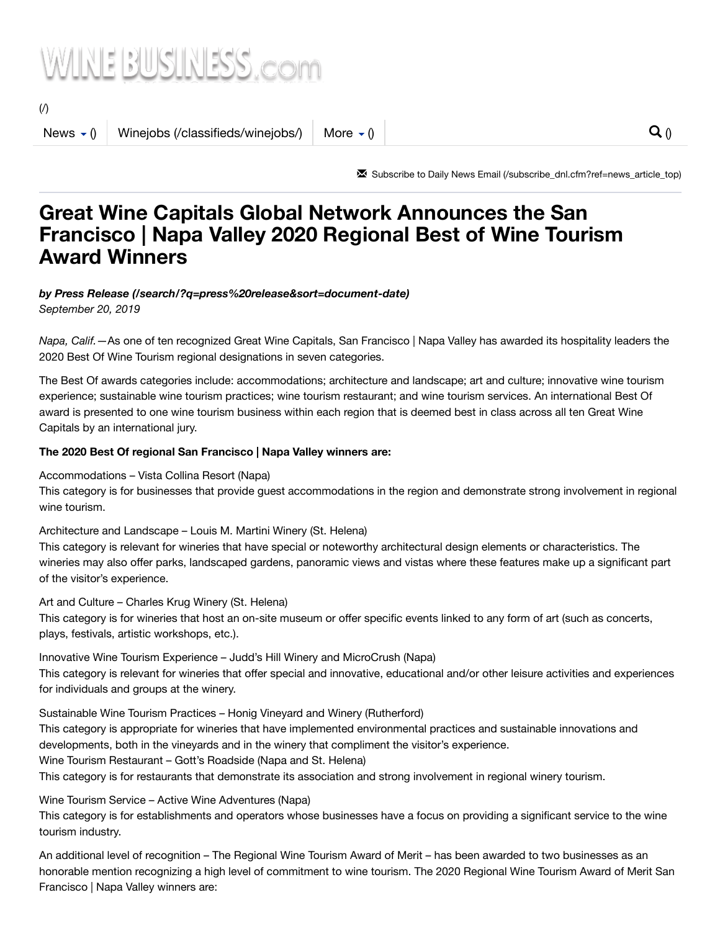## WINE BUSINESS.com

 $($ 

News  $\langle$  () Winejobs [\(/classifieds/winejobs/\)](https://www.winebusiness.com/classifieds/winejobs/) [More](https://www.winebusiness.com/news/?go=getArticle&dataId=219918)  $\langle$  ()  $\rangle$  ()  $\langle$  ()  $\rangle$  ()  $\langle$  ()  $\rangle$  ()  $\langle$  ()  $\rangle$  ()  $\langle$  ()  $\rangle$  ()  $\rangle$  ()  $\rangle$  ()  $\rangle$  ()  $\rangle$  ()  $\rangle$  ()  $\rangle$  ()  $\rangle$  ()  $\rangle$  ()  $\rangle$  ()  $\rangle$  ()  $\rangle$  ()

✉ Subscribe to Daily News Email [\(/subscribe\\_dnl.cfm?ref=news\\_article\\_top\)](https://www.winebusiness.com/subscribe_dnl.cfm?ref=news_article_top)

## **Great Wine Capitals Global Network Announces the San Francisco | Napa Valley 2020 Regional Best of Wine Tourism Award Winners**

#### *by Press Release [\(/search/?q=press%20release&sort=document-date\)](https://www.winebusiness.com/search/?q=press%20release&sort=document-date)*

*September 20, 2019*

*Napa, Calif.*—As one of ten recognized Great Wine Capitals, San Francisco | Napa Valley has awarded its hospitality leaders the 2020 Best Of Wine Tourism regional designations in seven categories.

The Best Of awards categories include: accommodations; architecture and landscape; art and culture; innovative wine tourism experience; sustainable wine tourism practices; wine tourism restaurant; and wine tourism services. An international Best Of award is presented to one wine tourism business within each region that is deemed best in class across all ten Great Wine Capitals by an international jury.

#### **The 2020 Best Of regional San Francisco | Napa Valley winners are:**

Accommodations – Vista Collina Resort (Napa)

This category is for businesses that provide guest accommodations in the region and demonstrate strong involvement in regional wine tourism.

Architecture and Landscape – Louis M. Martini Winery (St. Helena)

This category is relevant for wineries that have special or noteworthy architectural design elements or characteristics. The wineries may also offer parks, landscaped gardens, panoramic views and vistas where these features make up a significant part of the visitor's experience.

Art and Culture – Charles Krug Winery (St. Helena)

This category is for wineries that host an on-site museum or offer specific events linked to any form of art (such as concerts, plays, festivals, artistic workshops, etc.).

Innovative Wine Tourism Experience – Judd's Hill Winery and MicroCrush (Napa) This category is relevant for wineries that offer special and innovative, educational and/or other leisure activities and experiences for individuals and groups at the winery.

Sustainable Wine Tourism Practices – Honig Vineyard and Winery (Rutherford) This category is appropriate for wineries that have implemented environmental practices and sustainable innovations and developments, both in the vineyards and in the winery that compliment the visitor's experience. Wine Tourism Restaurant – Gott's Roadside (Napa and St. Helena) This category is for restaurants that demonstrate its association and strong involvement in regional winery tourism.

Wine Tourism Service – Active Wine Adventures (Napa) This category is for establishments and operators whose businesses have a focus on providing a significant service to the wine tourism industry.

An additional level of recognition – The Regional Wine Tourism Award of Merit – has been awarded to two businesses as an honorable mention recognizing a high level of commitment to wine tourism. The 2020 Regional Wine Tourism Award of Merit San Francisco | Napa Valley winners are: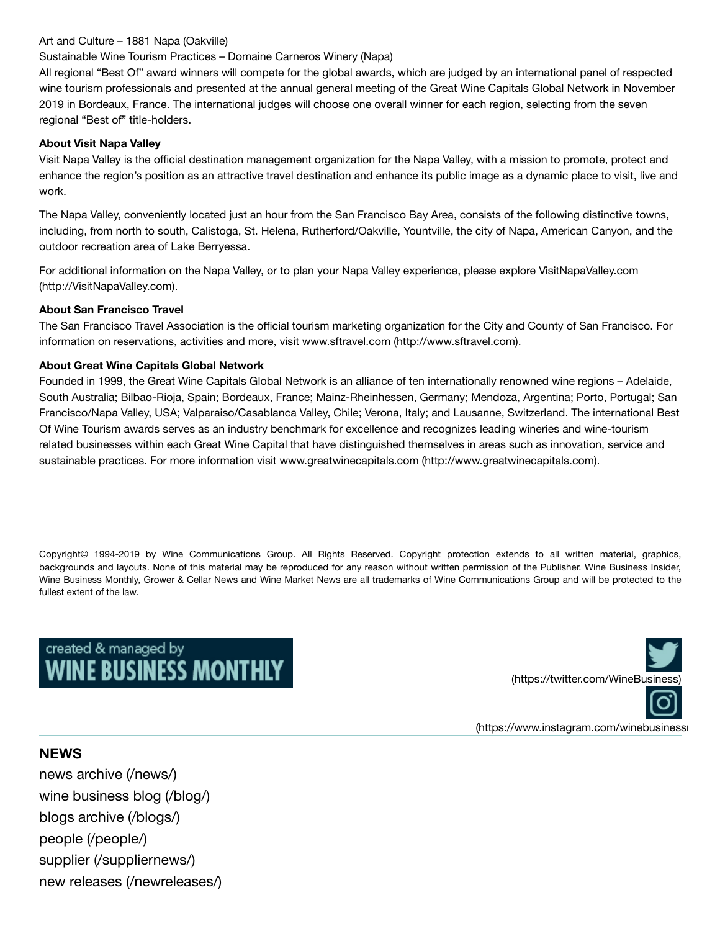#### Art and Culture – 1881 Napa (Oakville)

#### Sustainable Wine Tourism Practices – Domaine Carneros Winery (Napa)

All regional "Best Of" award winners will compete for the global awards, which are judged by an international panel of respected wine tourism professionals and presented at the annual general meeting of the Great Wine Capitals Global Network in November 2019 in Bordeaux, France. The international judges will choose one overall winner for each region, selecting from the seven regional "Best of" title-holders.

#### **About Visit Napa Valley**

Visit Napa Valley is the official destination management organization for the Napa Valley, with a mission to promote, protect and enhance the region's position as an attractive travel destination and enhance its public image as a dynamic place to visit, live and work.

The Napa Valley, conveniently located just an hour from the San Francisco Bay Area, consists of the following distinctive towns, including, from north to south, Calistoga, St. Helena, Rutherford/Oakville, Yountville, the city of Napa, American Canyon, and the outdoor recreation area of Lake Berryessa.

For additional information on the Napa Valley, or to plan your Napa Valley experience, please explore VisitNapaValley.com [\(http://VisitNapaValley.com\).](http://visitnapavalley.com/)

#### **About San Francisco Travel**

The San Francisco Travel Association is the official tourism marketing organization for the City and County of San Francisco. For information on reservations, activities and more, visit www.sftravel.com [\(http://www.sftravel.com\).](http://www.sftravel.com/)

#### **About Great Wine Capitals Global Network**

Founded in 1999, the Great Wine Capitals Global Network is an alliance of ten internationally renowned wine regions – Adelaide, South Australia; Bilbao-Rioja, Spain; Bordeaux, France; Mainz-Rheinhessen, Germany; Mendoza, Argentina; Porto, Portugal; San Francisco/Napa Valley, USA; Valparaiso/Casablanca Valley, Chile; Verona, Italy; and Lausanne, Switzerland. The international Best Of Wine Tourism awards serves as an industry benchmark for excellence and recognizes leading wineries and wine-tourism related businesses within each Great Wine Capital that have distinguished themselves in areas such as innovation, service and sustainable practices. For more information visit www.greatwinecapitals.com [\(http://www.greatwinecapitals.com\).](http://www.greatwinecapitals.com/)

Copyright© 1994-2019 by Wine Communications Group. All Rights Reserved. Copyright protection extends to all written material, graphics, backgrounds and layouts. None of this material may be reproduced for any reason without written permission of the Publisher. Wine Business Insider, Wine Business Monthly, Grower & Cellar News and Wine Market News are all trademarks of Wine Communications Group and will be protected to the fullest extent of the law.

# created & managed by<br>WINE BUSINESS MONTHLY



(https://www.instagram.com/winebusiness

#### **NEWS**

[news archive](https://www.winebusiness.com/news/) (/news/) wine [business blog](https://www.winebusiness.com/blog/) (/blog/) [blogs archive](https://www.winebusiness.com/blogs/) (/blogs/) people [\(/people/\)](https://www.winebusiness.com/people/) supplier [\(/suppliernews/\)](https://www.winebusiness.com/suppliernews/) new releases [\(/newreleases/\)](https://www.winebusiness.com/newreleases/)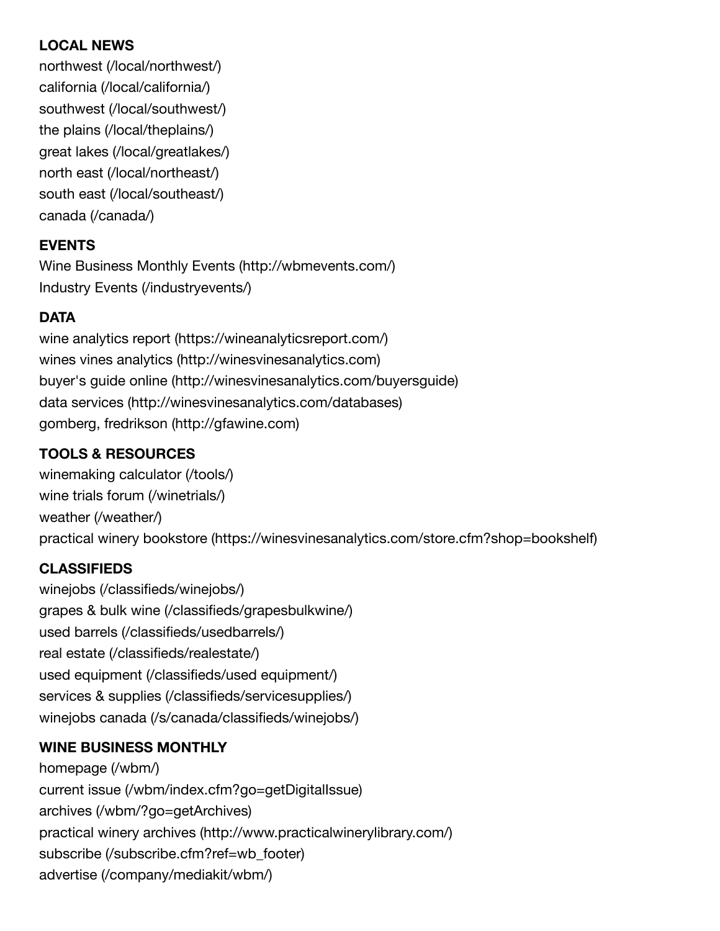## **LOCAL NEWS**

northwest [\(/local/northwest/\)](https://www.winebusiness.com/local/northwest/) california [\(/local/california/\)](https://www.winebusiness.com/local/california/) southwest [\(/local/southwest/\)](https://www.winebusiness.com/local/southwest/) the plains [\(/local/theplains/\)](https://www.winebusiness.com/local/theplains/) great lakes [\(/local/greatlakes/\)](https://www.winebusiness.com/local/greatlakes/) north east [\(/local/northeast/\)](https://www.winebusiness.com/local/northeast/) south east [\(/local/southeast/\)](https://www.winebusiness.com/local/southeast/) canada [\(/canada/\)](https://www.winebusiness.com/canada/)

## **EVENTS**

Wine [Business Monthly Events](http://wbmevents.com/) (http://wbmevents.com/) Industry Events [\(/industryevents/\)](https://www.winebusiness.com/industryevents/)

## **DATA**

wine analytics report [\(https://wineanalyticsreport.com/\)](https://wineanalyticsreport.com/) wines vines analytics [\(http://winesvinesanalytics.com\)](http://winesvinesanalytics.com/) buyer's guide online [\(http://winesvinesanalytics.com/buyersguide\)](http://winesvinesanalytics.com/buyersguide) data services [\(http://winesvinesanalytics.com/databases\)](http://winesvinesanalytics.com/databases) gomberg, fredrikson [\(http://gfawine.com\)](http://gfawine.com/)

## **TOOLS & RESOURCES**

[winemaking](https://www.winebusiness.com/tools/) calculator (/tools/) wine trials forum [\(/winetrials/\)](https://www.winebusiness.com/winetrials/) weather [\(/weather/\)](https://www.winebusiness.com/weather/) practical winery bookstore [\(https://winesvinesanalytics.com/store.cfm?shop=bookshelf\)](https://winesvinesanalytics.com/store.cfm?shop=bookshelf)

## **CLASSIFIEDS**

winejobs [\(/classifieds/winejobs/\)](https://www.winebusiness.com/classifieds/winejobs/) grapes & bulk wine [\(/classifieds/grapesbulkwine/\)](https://www.winebusiness.com/classifieds/grapesbulkwine/) used barrels [\(/classifieds/usedbarrels/\)](https://www.winebusiness.com/classifieds/usedbarrels/) real estate [\(/classifieds/realestate/\)](https://www.winebusiness.com/classifieds/realestate/) used equipment [\(/classifieds/used](https://www.winebusiness.com/classifieds/used%20equipment/) equipment/) services & supplies [\(/classifieds/servicesupplies/\)](https://www.winebusiness.com/classifieds/servicesupplies/) winejobs canada [\(/s/canada/classifieds/winejobs/\)](https://www.winebusiness.com/s/canada/classifieds/winejobs/)

## **WINE BUSINESS MONTHLY**

[homepage](https://www.winebusiness.com/wbm/) (/wbm/) current issue [\(/wbm/index.cfm?go=getDigitalIssue\)](https://www.winebusiness.com/wbm/index.cfm?go=getDigitalIssue) archives [\(/wbm/?go=getArchives\)](https://www.winebusiness.com/wbm/?go=getArchives) practical winery archives [\(http://www.practicalwinerylibrary.com/\)](http://www.practicalwinerylibrary.com/) subscribe [\(/subscribe.cfm?ref=wb\\_footer\)](https://www.winebusiness.com/subscribe.cfm?ref=wb_footer) advertise [\(/company/mediakit/wbm/\)](https://www.winebusiness.com/company/mediakit/wbm/)